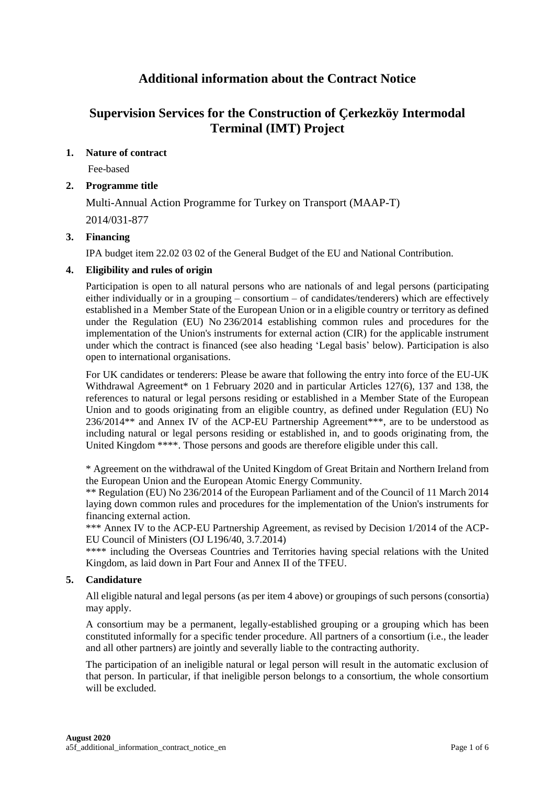# **Additional information about the Contract Notice**

# **Supervision Services for the Construction of Çerkezköy Intermodal Terminal (IMT) Project**

# **1. Nature of contract**

Fee-based

# **2. Programme title**

Multi-Annual Action Programme for Turkey on Transport (MAAP-T) 2014/031-877

# **3. Financing**

IPA budget item 22.02 03 02 of the General Budget of the EU and National Contribution.

# **4. Eligibility and rules of origin**

Participation is open to all natural persons who are nationals of and legal persons (participating either individually or in a grouping – consortium – of candidates/tenderers) which are effectively established in a Member State of the European Union or in a eligible country or territory as defined under the Regulation (EU) No 236/2014 establishing common rules and procedures for the implementation of the Union's instruments for external action (CIR) for the applicable instrument under which the contract is financed (see also heading 'Legal basis' below). Participation is also open to international organisations.

For UK candidates or tenderers: Please be aware that following the entry into force of the EU-UK Withdrawal Agreement<sup>\*</sup> on 1 February 2020 and in particular Articles 127(6), 137 and 138, the references to natural or legal persons residing or established in a Member State of the European Union and to goods originating from an eligible country, as defined under Regulation (EU) No 236/2014\*\* and Annex IV of the ACP-EU Partnership Agreement\*\*\*, are to be understood as including natural or legal persons residing or established in, and to goods originating from, the United Kingdom \*\*\*\*. Those persons and goods are therefore eligible under this call.

\* Agreement on the withdrawal of the United Kingdom of Great Britain and Northern Ireland from the European Union and the European Atomic Energy Community.

\*\* Regulation (EU) No 236/2014 of the European Parliament and of the Council of 11 March 2014 laying down common rules and procedures for the implementation of the Union's instruments for financing external action.

\*\*\* Annex IV to the ACP-EU Partnership Agreement, as revised by Decision 1/2014 of the ACP-EU Council of Ministers (OJ L196/40, 3.7.2014)

\*\*\*\* including the Overseas Countries and Territories having special relations with the United Kingdom, as laid down in Part Four and Annex II of the TFEU.

# **5. Candidature**

All eligible natural and legal persons (as per item 4 above) or groupings of such persons (consortia) may apply.

A consortium may be a permanent, legally-established grouping or a grouping which has been constituted informally for a specific tender procedure. All partners of a consortium (i.e., the leader and all other partners) are jointly and severally liable to the contracting authority.

The participation of an ineligible natural or legal person will result in the automatic exclusion of that person. In particular, if that ineligible person belongs to a consortium, the whole consortium will be excluded.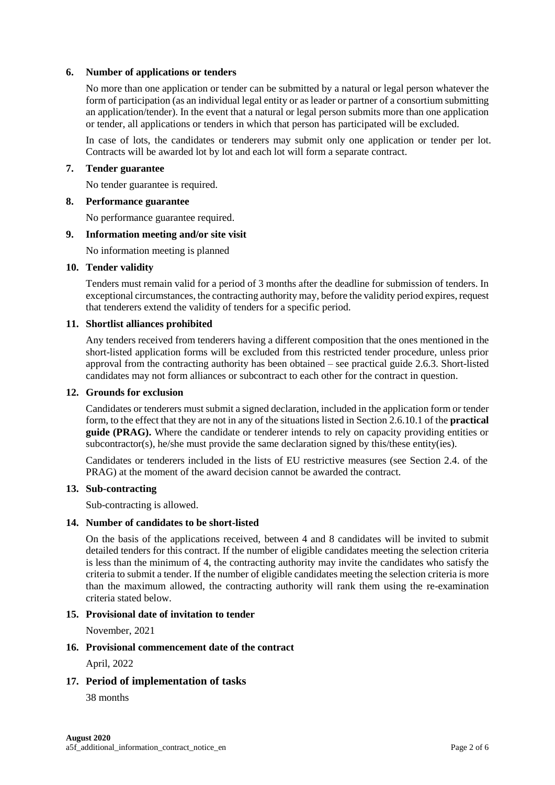## **6. Number of applications or tenders**

No more than one application or tender can be submitted by a natural or legal person whatever the form of participation (as an individual legal entity or as leader or partner of a consortium submitting an application/tender). In the event that a natural or legal person submits more than one application or tender, all applications or tenders in which that person has participated will be excluded.

In case of lots, the candidates or tenderers may submit only one application or tender per lot. Contracts will be awarded lot by lot and each lot will form a separate contract.

## **7. Tender guarantee**

No tender guarantee is required.

#### **8. Performance guarantee**

No performance guarantee required.

#### **9. Information meeting and/or site visit**

No information meeting is planned

#### **10. Tender validity**

Tenders must remain valid for a period of 3 months after the deadline for submission of tenders. In exceptional circumstances, the contracting authority may, before the validity period expires, request that tenderers extend the validity of tenders for a specific period.

## **11. Shortlist alliances prohibited**

Any tenders received from tenderers having a different composition that the ones mentioned in the short-listed application forms will be excluded from this restricted tender procedure, unless prior approval from the contracting authority has been obtained – see practical guide 2.6.3. Short-listed candidates may not form alliances or subcontract to each other for the contract in question.

#### **12. Grounds for exclusion**

Candidates or tenderers must submit a signed declaration, included in the application form or tender form, to the effect that they are not in any of the situations listed in Section 2.6.10.1 of the **practical guide (PRAG).** Where the candidate or tenderer intends to rely on capacity providing entities or subcontractor(s), he/she must provide the same declaration signed by this/these entity(ies).

Candidates or tenderers included in the lists of EU restrictive measures (see Section 2.4. of the PRAG) at the moment of the award decision cannot be awarded the contract.

#### **13. Sub-contracting**

Sub-contracting is allowed.

## **14. Number of candidates to be short-listed**

On the basis of the applications received, between 4 and 8 candidates will be invited to submit detailed tenders for this contract. If the number of eligible candidates meeting the selection criteria is less than the minimum of 4, the contracting authority may invite the candidates who satisfy the criteria to submit a tender. If the number of eligible candidates meeting the selection criteria is more than the maximum allowed, the contracting authority will rank them using the re-examination criteria stated below.

## **15. Provisional date of invitation to tender**

November, 2021

# **16. Provisional commencement date of the contract**

April, 2022

## **17. Period of implementation of tasks**

38 months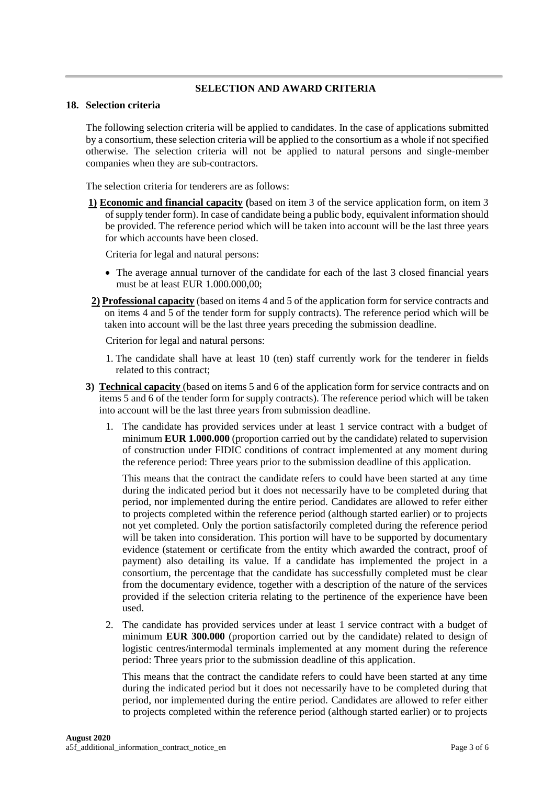## **SELECTION AND AWARD CRITERIA**

#### **18. Selection criteria**

The following selection criteria will be applied to candidates. In the case of applications submitted by a consortium, these selection criteria will be applied to the consortium as a whole if not specified otherwise. The selection criteria will not be applied to natural persons and single-member companies when they are sub-contractors.

The selection criteria for tenderers are as follows:

**1) Economic and financial capacity (**based on item 3 of the service application form, on item 3 of supply tender form). In case of candidate being a public body, equivalent information should be provided. The reference period which will be taken into account will be the last three years for which accounts have been closed.

Criteria for legal and natural persons:

- The average annual turnover of the candidate for each of the last 3 closed financial years must be at least EUR 1.000.000,00;
- **2) Professional capacity** (based on items 4 and 5 of the application form for service contracts and on items 4 and 5 of the tender form for supply contracts). The reference period which will be taken into account will be the last three years preceding the submission deadline.

Criterion for legal and natural persons:

- 1. The candidate shall have at least 10 (ten) staff currently work for the tenderer in fields related to this contract;
- **3) Technical capacity** (based on items 5 and 6 of the application form for service contracts and on items 5 and 6 of the tender form for supply contracts). The reference period which will be taken into account will be the last three years from submission deadline.
	- 1. The candidate has provided services under at least 1 service contract with a budget of minimum **EUR 1.000.000** (proportion carried out by the candidate) related to supervision of construction under FIDIC conditions of contract implemented at any moment during the reference period: Three years prior to the submission deadline of this application.

This means that the contract the candidate refers to could have been started at any time during the indicated period but it does not necessarily have to be completed during that period, nor implemented during the entire period. Candidates are allowed to refer either to projects completed within the reference period (although started earlier) or to projects not yet completed. Only the portion satisfactorily completed during the reference period will be taken into consideration. This portion will have to be supported by documentary evidence (statement or certificate from the entity which awarded the contract, proof of payment) also detailing its value. If a candidate has implemented the project in a consortium, the percentage that the candidate has successfully completed must be clear from the documentary evidence, together with a description of the nature of the services provided if the selection criteria relating to the pertinence of the experience have been used.

2. The candidate has provided services under at least 1 service contract with a budget of minimum **EUR 300.000** (proportion carried out by the candidate) related to design of logistic centres/intermodal terminals implemented at any moment during the reference period: Three years prior to the submission deadline of this application.

This means that the contract the candidate refers to could have been started at any time during the indicated period but it does not necessarily have to be completed during that period, nor implemented during the entire period. Candidates are allowed to refer either to projects completed within the reference period (although started earlier) or to projects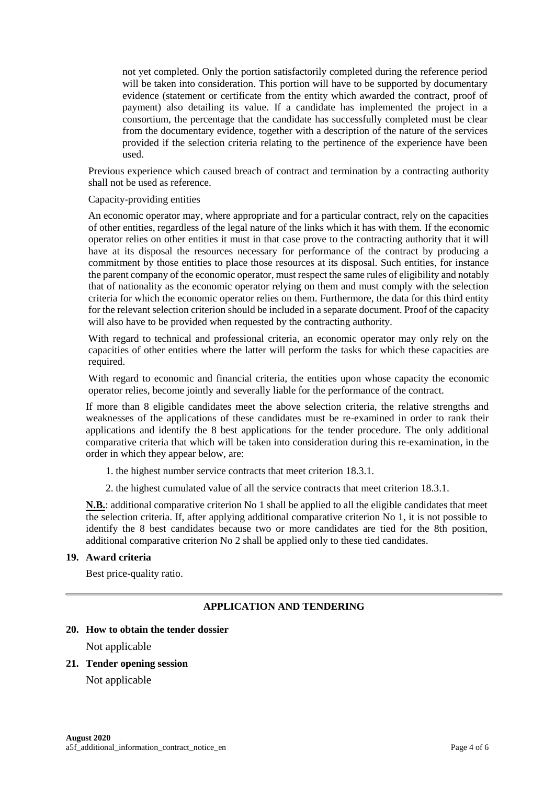not yet completed. Only the portion satisfactorily completed during the reference period will be taken into consideration. This portion will have to be supported by documentary evidence (statement or certificate from the entity which awarded the contract, proof of payment) also detailing its value. If a candidate has implemented the project in a consortium, the percentage that the candidate has successfully completed must be clear from the documentary evidence, together with a description of the nature of the services provided if the selection criteria relating to the pertinence of the experience have been used.

Previous experience which caused breach of contract and termination by a contracting authority shall not be used as reference.

Capacity-providing entities

An economic operator may, where appropriate and for a particular contract, rely on the capacities of other entities, regardless of the legal nature of the links which it has with them. If the economic operator relies on other entities it must in that case prove to the contracting authority that it will have at its disposal the resources necessary for performance of the contract by producing a commitment by those entities to place those resources at its disposal. Such entities, for instance the parent company of the economic operator, must respect the same rules of eligibility and notably that of nationality as the economic operator relying on them and must comply with the selection criteria for which the economic operator relies on them. Furthermore, the data for this third entity for the relevant selection criterion should be included in a separate document. Proof of the capacity will also have to be provided when requested by the contracting authority.

With regard to technical and professional criteria, an economic operator may only rely on the capacities of other entities where the latter will perform the tasks for which these capacities are required.

With regard to economic and financial criteria, the entities upon whose capacity the economic operator relies, become jointly and severally liable for the performance of the contract.

If more than 8 eligible candidates meet the above selection criteria, the relative strengths and weaknesses of the applications of these candidates must be re-examined in order to rank their applications and identify the 8 best applications for the tender procedure. The only additional comparative criteria that which will be taken into consideration during this re-examination, in the order in which they appear below, are:

- 1. the highest number service contracts that meet criterion 18.3.1.
- 2. the highest cumulated value of all the service contracts that meet criterion 18.3.1.

**N.B.**: additional comparative criterion No 1 shall be applied to all the eligible candidates that meet the selection criteria. If, after applying additional comparative criterion No 1, it is not possible to identify the 8 best candidates because two or more candidates are tied for the 8th position, additional comparative criterion No 2 shall be applied only to these tied candidates.

## **19. Award criteria**

Best price-quality ratio.

## **APPLICATION AND TENDERING**

#### **20. How to obtain the tender dossier**

Not applicable

## **21. Tender opening session**

Not applicable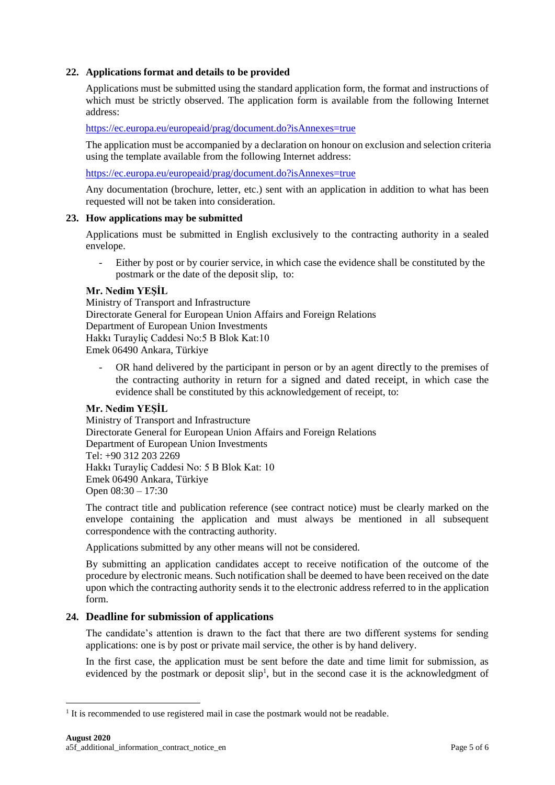## **22. Applications format and details to be provided**

Applications must be submitted using the standard application form, the format and instructions of which must be strictly observed. The application form is available from the following Internet address:

<https://ec.europa.eu/europeaid/prag/document.do?isAnnexes=true>

The application must be accompanied by a declaration on honour on exclusion and selection criteria using the template available from the following Internet address:

<https://ec.europa.eu/europeaid/prag/document.do?isAnnexes=true>

Any documentation (brochure, letter, etc.) sent with an application in addition to what has been requested will not be taken into consideration.

#### **23. How applications may be submitted**

Applications must be submitted in English exclusively to the contracting authority in a sealed envelope.

- Either by post or by courier service, in which case the evidence shall be constituted by the postmark or the date of the deposit slip, to:

#### **Mr. Nedim YEŞİL**

Ministry of Transport and Infrastructure Directorate General for European Union Affairs and Foreign Relations Department of European Union Investments Hakkı Turayliç Caddesi No:5 B Blok Kat:10 Emek 06490 Ankara, Türkiye

OR hand delivered by the participant in person or by an agent directly to the premises of the contracting authority in return for a signed and dated receipt, in which case the evidence shall be constituted by this acknowledgement of receipt, to:

## **Mr. Nedim YEŞİL**

Ministry of Transport and Infrastructure Directorate General for European Union Affairs and Foreign Relations Department of European Union Investments Tel: +90 312 203 2269 Hakkı Turayliç Caddesi No: 5 B Blok Kat: 10 Emek 06490 Ankara, Türkiye Open 08:30 – 17:30

The contract title and publication reference (see contract notice) must be clearly marked on the envelope containing the application and must always be mentioned in all subsequent correspondence with the contracting authority.

Applications submitted by any other means will not be considered.

By submitting an application candidates accept to receive notification of the outcome of the procedure by electronic means. Such notification shall be deemed to have been received on the date upon which the contracting authority sends it to the electronic address referred to in the application form.

## **24. Deadline for submission of applications**

The candidate's attention is drawn to the fact that there are two different systems for sending applications: one is by post or private mail service, the other is by hand delivery.

In the first case, the application must be sent before the date and time limit for submission, as evidenced by the postmark or deposit slip<sup>1</sup>, but in the second case it is the acknowledgment of

<u>.</u>

 $<sup>1</sup>$  It is recommended to use registered mail in case the postmark would not be readable.</sup>